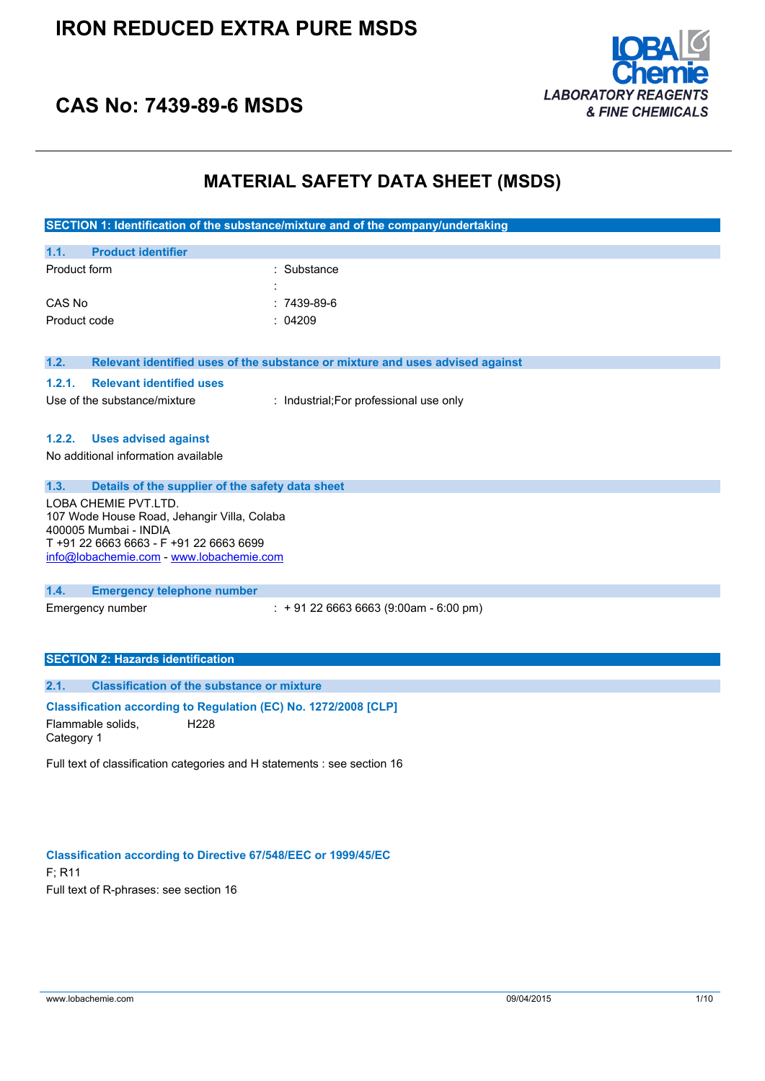

### **CAS No: 7439-89-6 MSDS**

### **MATERIAL SAFETY DATA SHEET (MSDS)**

|                                                                                                                                                                                     | SECTION 1: Identification of the substance/mixture and of the company/undertaking |
|-------------------------------------------------------------------------------------------------------------------------------------------------------------------------------------|-----------------------------------------------------------------------------------|
| 1.1.<br><b>Product identifier</b>                                                                                                                                                   |                                                                                   |
| Product form                                                                                                                                                                        | : Substance                                                                       |
| CAS No                                                                                                                                                                              | 7439-89-6                                                                         |
| Product code                                                                                                                                                                        | 04209                                                                             |
| 1.2.                                                                                                                                                                                | Relevant identified uses of the substance or mixture and uses advised against     |
| 1.2.1.<br><b>Relevant identified uses</b>                                                                                                                                           |                                                                                   |
| Use of the substance/mixture                                                                                                                                                        | : Industrial; For professional use only                                           |
| <b>Uses advised against</b><br>1.2.2.<br>No additional information available                                                                                                        |                                                                                   |
| 1.3.<br>Details of the supplier of the safety data sheet                                                                                                                            |                                                                                   |
| LOBA CHEMIE PVT.LTD.<br>107 Wode House Road, Jehangir Villa, Colaba<br>400005 Mumbai - INDIA<br>T +91 22 6663 6663 - F +91 22 6663 6699<br>info@lobachemie.com - www.lobachemie.com |                                                                                   |
| 1.4.<br><b>Emergency telephone number</b>                                                                                                                                           |                                                                                   |
| Emergency number                                                                                                                                                                    | $\div$ + 91 22 6663 6663 (9:00am - 6:00 pm)                                       |
| <b>SECTION 2: Hazards identification</b>                                                                                                                                            |                                                                                   |
| 2.1.<br><b>Classification of the substance or mixture</b>                                                                                                                           |                                                                                   |
| Classification according to Regulation (EC) No. 1272/2008 [CLP]<br>Flammable solids,<br>H <sub>228</sub><br>Category 1                                                              |                                                                                   |
| Full text of classification categories and H statements : see section 16                                                                                                            |                                                                                   |

#### **Classification according to Directive 67/548/EEC or 1999/45/EC**

F; R11 Full text of R-phrases: see section 16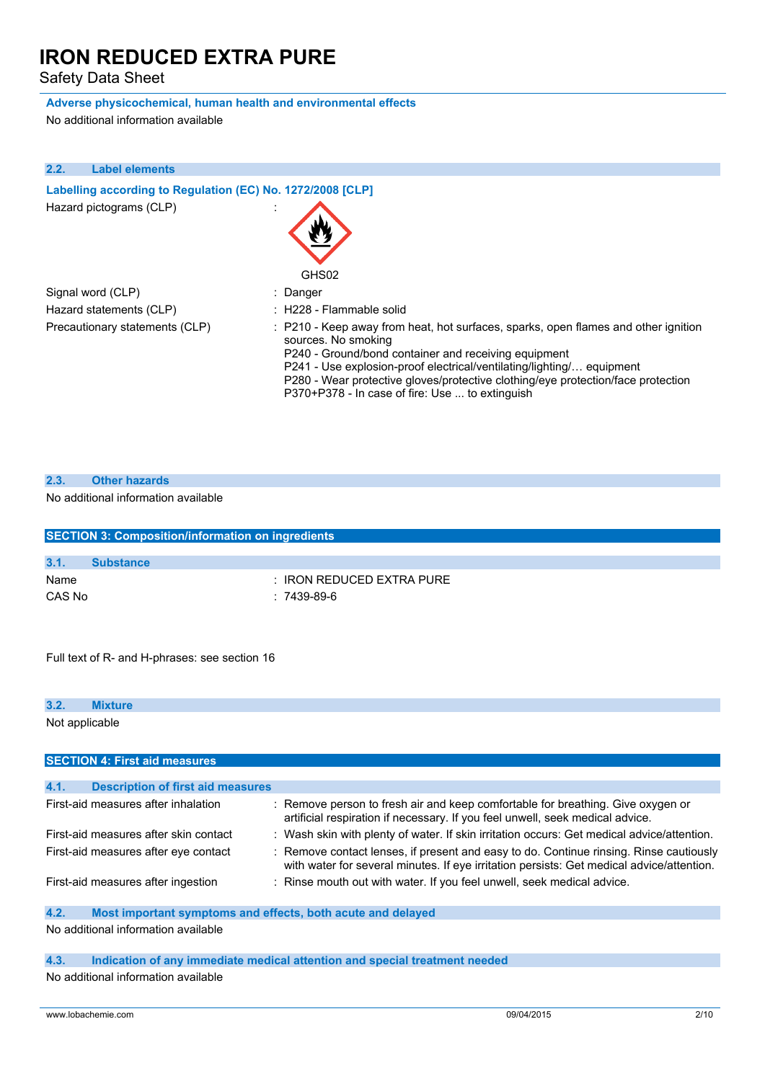Safety Data Sheet

### **Adverse physicochemical, human health and environmental effects**

No additional information available

| 2.2.<br><b>Label elements</b>                              |                                                                                                                                                                                                                                                                                                                                                                                   |
|------------------------------------------------------------|-----------------------------------------------------------------------------------------------------------------------------------------------------------------------------------------------------------------------------------------------------------------------------------------------------------------------------------------------------------------------------------|
| Labelling according to Regulation (EC) No. 1272/2008 [CLP] |                                                                                                                                                                                                                                                                                                                                                                                   |
| Hazard pictograms (CLP)                                    | GHS02                                                                                                                                                                                                                                                                                                                                                                             |
| Signal word (CLP)                                          | : Danger                                                                                                                                                                                                                                                                                                                                                                          |
| Hazard statements (CLP)                                    | : H228 - Flammable solid                                                                                                                                                                                                                                                                                                                                                          |
| Precautionary statements (CLP)                             | : P210 - Keep away from heat, hot surfaces, sparks, open flames and other ignition<br>sources. No smoking<br>P240 - Ground/bond container and receiving equipment<br>P241 - Use explosion-proof electrical/ventilating/lighting/ equipment<br>P280 - Wear protective gloves/protective clothing/eye protection/face protection<br>P370+P378 - In case of fire: Use  to extinguish |

| 2.3. | <b>Other hazards</b> |
|------|----------------------|
|      |                      |

#### No additional information available

|        | <b>SECTION 3: Composition/information on ingredients</b> |
|--------|----------------------------------------------------------|
|        |                                                          |
| 3.1.   | <b>Substance</b>                                         |
| Name   | $\pm$ IRON REDUCED EXTRA PURE                            |
| CAS No | $: 7439-89-6$                                            |

Full text of R- and H-phrases: see section 16

| 3.2.           | <b>Mixture</b>                           |                                                                                                                                                                                     |
|----------------|------------------------------------------|-------------------------------------------------------------------------------------------------------------------------------------------------------------------------------------|
| Not applicable |                                          |                                                                                                                                                                                     |
|                |                                          |                                                                                                                                                                                     |
|                | <b>SECTION 4: First aid measures</b>     |                                                                                                                                                                                     |
|                |                                          |                                                                                                                                                                                     |
| 4.1.           | <b>Description of first aid measures</b> |                                                                                                                                                                                     |
|                | First-aid measures after inhalation      | : Remove person to fresh air and keep comfortable for breathing. Give oxygen or<br>artificial respiration if necessary. If you feel unwell, seek medical advice.                    |
|                | First-aid measures after skin contact    | : Wash skin with plenty of water. If skin irritation occurs: Get medical advice/attention.                                                                                          |
|                | First-aid measures after eye contact     | : Remove contact lenses, if present and easy to do. Continue rinsing. Rinse cautiously<br>with water for several minutes. If eye irritation persists: Get medical advice/attention. |
|                | First-aid measures after ingestion       | : Rinse mouth out with water. If you feel unwell, seek medical advice.                                                                                                              |

#### **4.2. Most important symptoms and effects, both acute and delayed**

No additional information available

#### **4.3. Indication of any immediate medical attention and special treatment needed**

No additional information available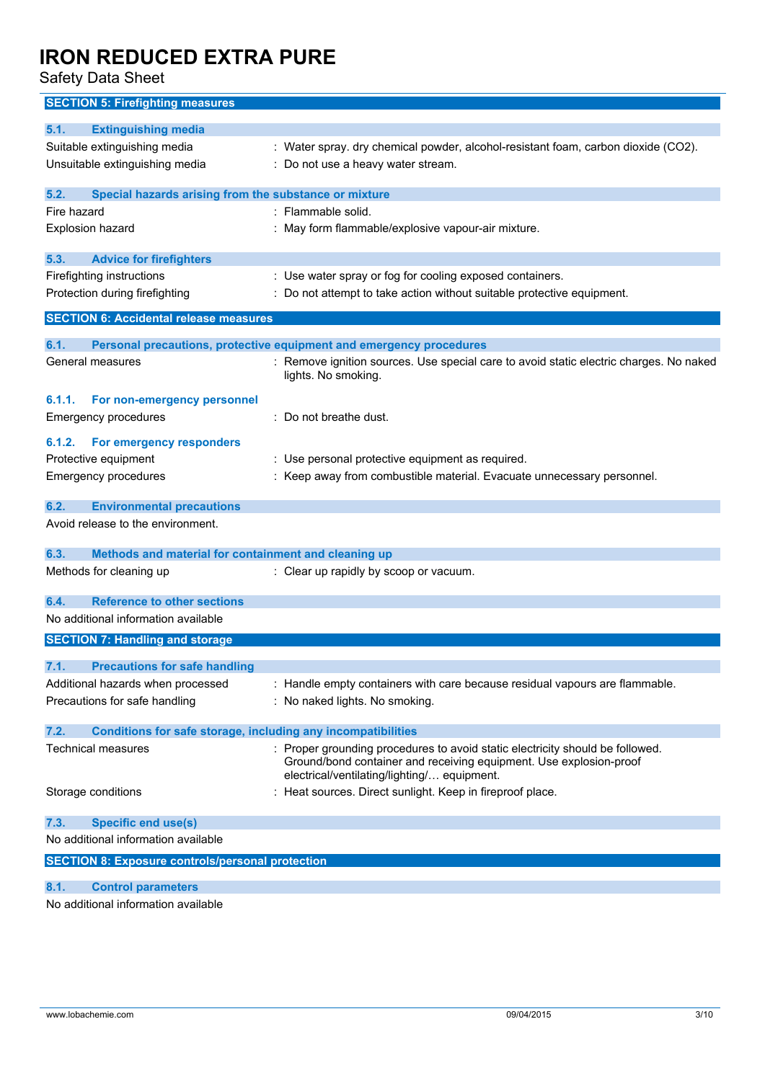Safety Data Sheet

| <b>SECTION 5: Firefighting measures</b>                                                           |                                                                                                                   |
|---------------------------------------------------------------------------------------------------|-------------------------------------------------------------------------------------------------------------------|
| 5.1.<br><b>Extinguishing media</b>                                                                |                                                                                                                   |
| Suitable extinguishing media                                                                      | : Water spray. dry chemical powder, alcohol-resistant foam, carbon dioxide (CO2).                                 |
| Unsuitable extinguishing media                                                                    | : Do not use a heavy water stream.                                                                                |
|                                                                                                   |                                                                                                                   |
| 5.2.<br>Special hazards arising from the substance or mixture<br>Fire hazard                      | : Flammable solid.                                                                                                |
| Explosion hazard                                                                                  | : May form flammable/explosive vapour-air mixture.                                                                |
|                                                                                                   |                                                                                                                   |
| 5.3.<br><b>Advice for firefighters</b>                                                            |                                                                                                                   |
| Firefighting instructions                                                                         | : Use water spray or fog for cooling exposed containers.                                                          |
| Protection during firefighting                                                                    | Do not attempt to take action without suitable protective equipment.                                              |
| <b>SECTION 6: Accidental release measures</b>                                                     |                                                                                                                   |
| 6.1.                                                                                              | Personal precautions, protective equipment and emergency procedures                                               |
| General measures                                                                                  | : Remove ignition sources. Use special care to avoid static electric charges. No naked                            |
|                                                                                                   | lights. No smoking.                                                                                               |
| 6.1.1.<br>For non-emergency personnel                                                             |                                                                                                                   |
| <b>Emergency procedures</b>                                                                       | : Do not breathe dust.                                                                                            |
|                                                                                                   |                                                                                                                   |
| For emergency responders<br>6.1.2.<br>Protective equipment                                        | : Use personal protective equipment as required.                                                                  |
| <b>Emergency procedures</b>                                                                       | : Keep away from combustible material. Evacuate unnecessary personnel.                                            |
|                                                                                                   |                                                                                                                   |
| <b>Environmental precautions</b><br>6.2.                                                          |                                                                                                                   |
| Avoid release to the environment.                                                                 |                                                                                                                   |
| 6.3.<br>Methods and material for containment and cleaning up                                      |                                                                                                                   |
| Methods for cleaning up                                                                           | : Clear up rapidly by scoop or vacuum.                                                                            |
|                                                                                                   |                                                                                                                   |
| <b>Reference to other sections</b><br>6.4.                                                        |                                                                                                                   |
| No additional information available                                                               |                                                                                                                   |
| <b>SECTION 7: Handling and storage</b>                                                            |                                                                                                                   |
| 7.1.<br><b>Precautions for safe handling</b>                                                      |                                                                                                                   |
| Additional hazards when processed                                                                 | : Handle empty containers with care because residual vapours are flammable.                                       |
| Precautions for safe handling                                                                     | : No naked lights. No smoking.                                                                                    |
|                                                                                                   |                                                                                                                   |
| 7.2.<br>Conditions for safe storage, including any incompatibilities<br><b>Technical measures</b> | : Proper grounding procedures to avoid static electricity should be followed.                                     |
|                                                                                                   | Ground/bond container and receiving equipment. Use explosion-proof<br>electrical/ventilating/lighting/ equipment. |
| Storage conditions                                                                                | : Heat sources. Direct sunlight. Keep in fireproof place.                                                         |
| <b>Specific end use(s)</b><br>7.3.                                                                |                                                                                                                   |
| No additional information available                                                               |                                                                                                                   |
| <b>SECTION 8: Exposure controls/personal protection</b>                                           |                                                                                                                   |
| 8.1.<br><b>Control parameters</b>                                                                 |                                                                                                                   |
|                                                                                                   |                                                                                                                   |

No additional information available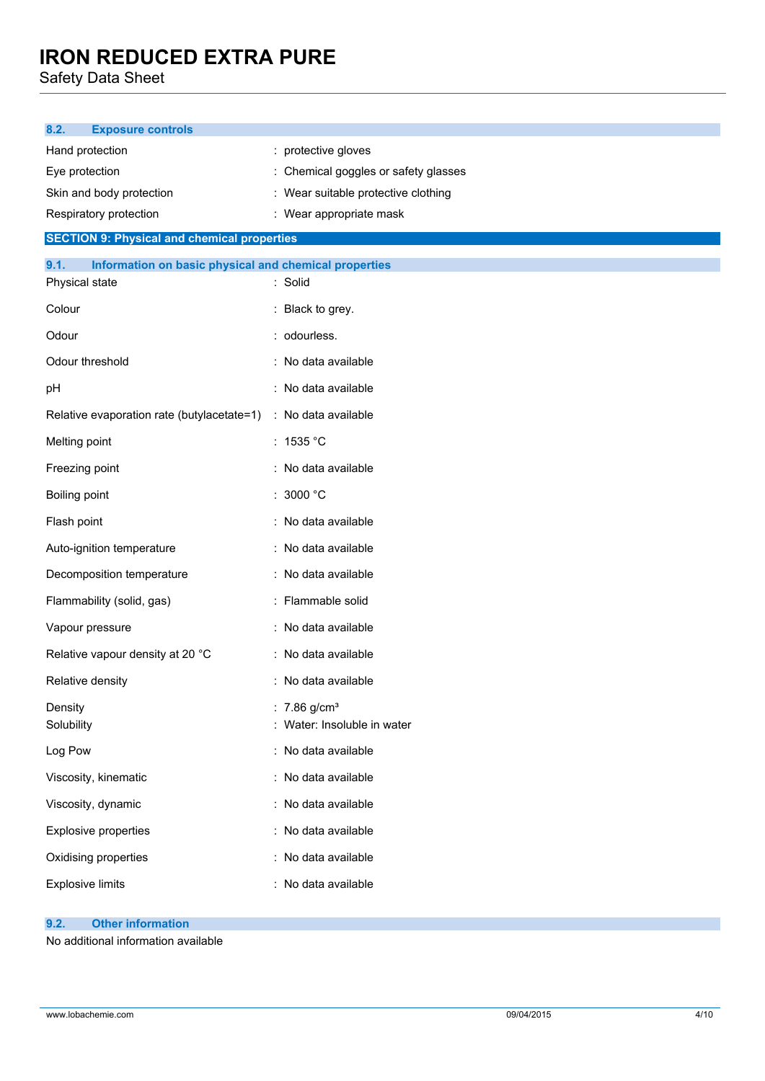Safety Data Sheet

| 8.2.<br><b>Exposure controls</b>                              |                                      |
|---------------------------------------------------------------|--------------------------------------|
| Hand protection                                               | : protective gloves                  |
| Eye protection                                                | : Chemical goggles or safety glasses |
| Skin and body protection                                      | : Wear suitable protective clothing  |
| Respiratory protection                                        | : Wear appropriate mask              |
| <b>SECTION 9: Physical and chemical properties</b>            |                                      |
| 9.1.<br>Information on basic physical and chemical properties |                                      |
| Physical state                                                | : Solid                              |
| Colour                                                        | : Black to grey.                     |
| Odour                                                         | : odourless.                         |
| Odour threshold                                               | : No data available                  |
| pH                                                            | : No data available                  |
| Relative evaporation rate (butylacetate=1)                    | : No data available                  |
| Melting point                                                 | : 1535 °C                            |
| Freezing point                                                | : No data available                  |
| Boiling point                                                 | : 3000 °C                            |
| Flash point                                                   | : No data available                  |
| Auto-ignition temperature                                     | : No data available                  |
| Decomposition temperature                                     | : No data available                  |
| Flammability (solid, gas)                                     | : Flammable solid                    |
| Vapour pressure                                               | : No data available                  |
| Relative vapour density at 20 °C                              | : No data available                  |
| Relative density                                              | : No data available                  |
| Density                                                       | : $7.86$ g/cm <sup>3</sup>           |
| Solubility                                                    | Water: Insoluble in water            |
| Log Pow                                                       | : No data available                  |
| Viscosity, kinematic                                          | : No data available                  |
| Viscosity, dynamic                                            | : No data available                  |
| <b>Explosive properties</b>                                   | : No data available                  |
| Oxidising properties                                          | : No data available                  |
| <b>Explosive limits</b>                                       | : No data available                  |
| <b>Other information</b><br>9.2.                              |                                      |

No additional information available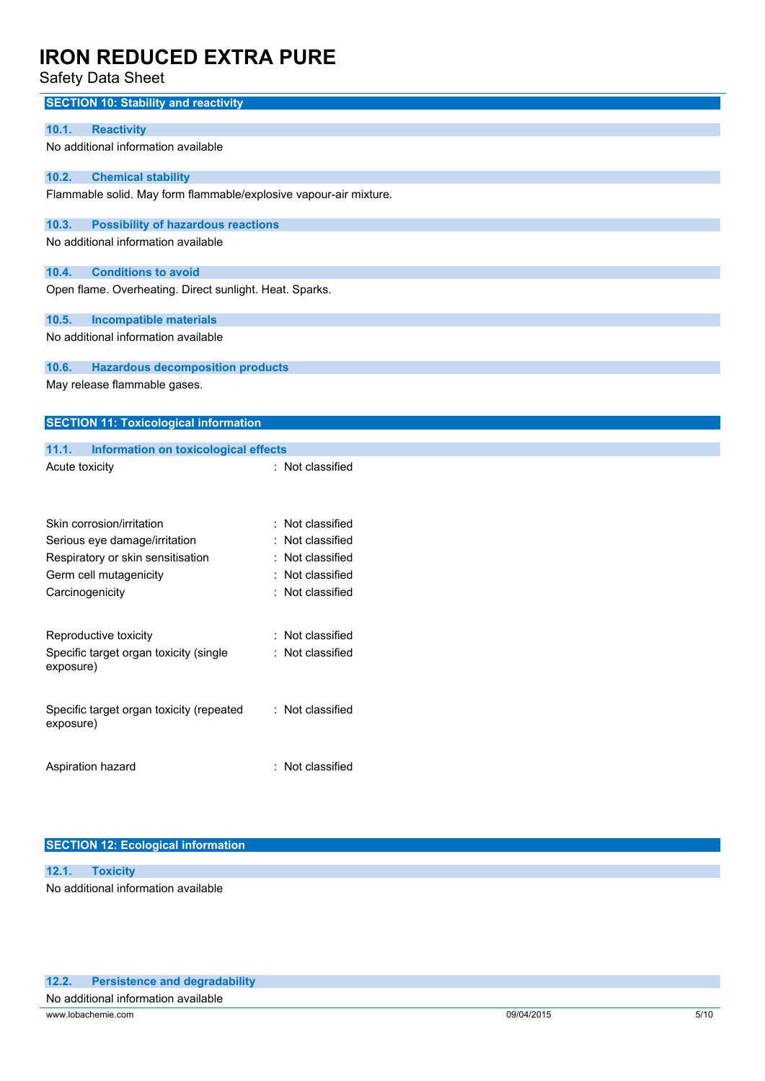Safety Data Sheet

| <b>SECTION 10: Stability and reactivity</b>                       |                     |
|-------------------------------------------------------------------|---------------------|
| <b>Reactivity</b><br>10.1.                                        |                     |
| No additional information available                               |                     |
| 10.2.<br><b>Chemical stability</b>                                |                     |
| Flammable solid. May form flammable/explosive vapour-air mixture. |                     |
| 10.3.<br><b>Possibility of hazardous reactions</b>                |                     |
| No additional information available                               |                     |
| <b>Conditions to avoid</b><br>10.4.                               |                     |
| Open flame. Overheating. Direct sunlight. Heat. Sparks.           |                     |
| 10.5.<br><b>Incompatible materials</b>                            |                     |
| No additional information available                               |                     |
| 10.6.<br><b>Hazardous decomposition products</b>                  |                     |
| May release flammable gases.                                      |                     |
| <b>SECTION 11: Toxicological information</b>                      |                     |
| 11.1.<br><b>Information on toxicological effects</b>              |                     |
| Acute toxicity                                                    | : Not classified    |
|                                                                   |                     |
| Skin corrosion/irritation                                         | Not classified      |
| Serious eye damage/irritation                                     | Not classified      |
| Respiratory or skin sensitisation                                 | Not classified<br>÷ |
| Germ cell mutagenicity                                            | Not classified      |
| Carcinogenicity                                                   | : Not classified    |
| Reproductive toxicity                                             | Not classified      |
| Specific target organ toxicity (single                            | Not classified      |
| exposure)                                                         |                     |
| Specific target organ toxicity (repeated<br>exposure)             | : Not classified    |
| Aspiration hazard                                                 | : Not classified    |
|                                                                   |                     |

### **SECTION 12: Ecological information**

**12.1. Toxicity** No additional information available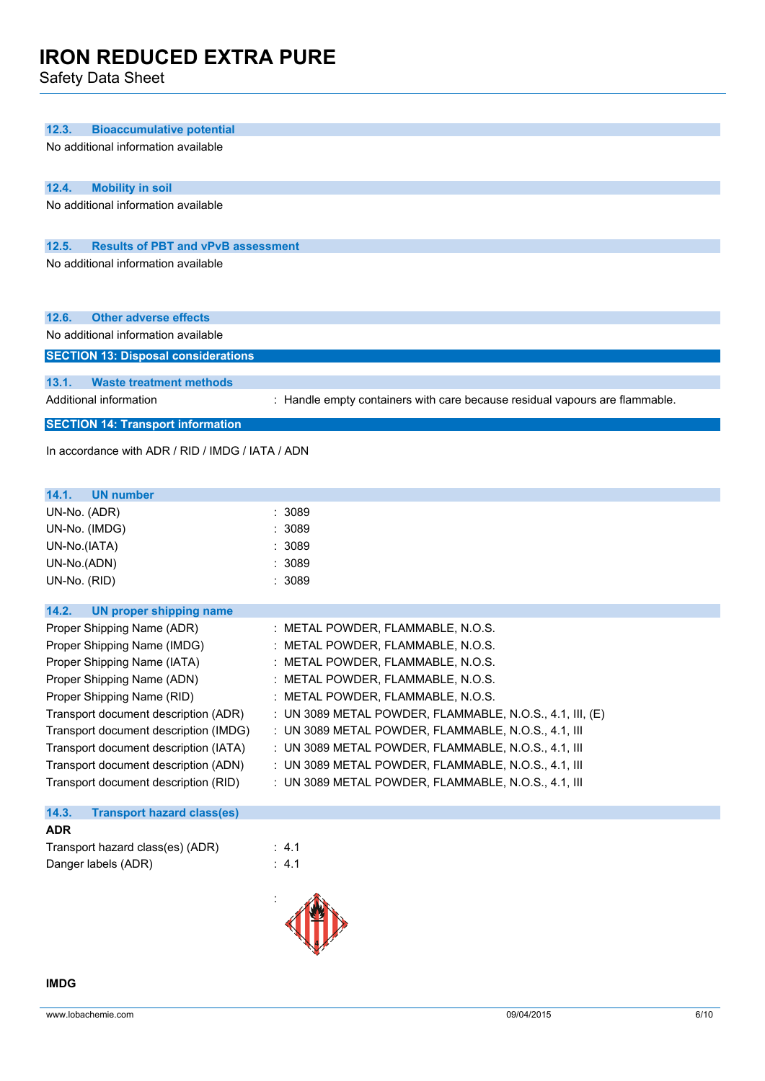Safety Data Sheet

| 12.3.<br><b>Bioaccumulative potential</b>                          |                                                                             |
|--------------------------------------------------------------------|-----------------------------------------------------------------------------|
| No additional information available                                |                                                                             |
| <b>Mobility in soil</b><br>12.4.                                   |                                                                             |
| No additional information available                                |                                                                             |
|                                                                    |                                                                             |
| 12.5.<br><b>Results of PBT and vPvB assessment</b>                 |                                                                             |
| No additional information available                                |                                                                             |
| 12.6.<br><b>Other adverse effects</b>                              |                                                                             |
| No additional information available                                |                                                                             |
| <b>SECTION 13: Disposal considerations</b>                         |                                                                             |
| 13.1.<br><b>Waste treatment methods</b>                            |                                                                             |
| Additional information                                             | : Handle empty containers with care because residual vapours are flammable. |
| <b>SECTION 14: Transport information</b>                           |                                                                             |
| In accordance with ADR / RID / IMDG / IATA / ADN                   |                                                                             |
| 14.1.<br><b>UN number</b>                                          |                                                                             |
| UN-No. (ADR)                                                       | 3089                                                                        |
| UN-No. (IMDG)                                                      | 3089                                                                        |
| UN-No.(IATA)                                                       | 3089                                                                        |
| UN-No.(ADN)<br>UN-No. (RID)                                        | 3089<br>3089                                                                |
|                                                                    |                                                                             |
| 14.2.<br><b>UN proper shipping name</b>                            |                                                                             |
| Proper Shipping Name (ADR)                                         | : METAL POWDER, FLAMMABLE, N.O.S.                                           |
| Proper Shipping Name (IMDG)                                        | METAL POWDER, FLAMMABLE, N.O.S.                                             |
| Proper Shipping Name (IATA)                                        | : METAL POWDER, FLAMMABLE, N.O.S.<br>: METAL POWDER, FLAMMABLE, N.O.S.      |
| Proper Shipping Name (ADN)                                         | : METAL POWDER, FLAMMABLE, N.O.S.                                           |
| Proper Shipping Name (RID)<br>Transport document description (ADR) | : UN 3089 METAL POWDER, FLAMMABLE, N.O.S., 4.1, III, (E)                    |
| Transport document description (IMDG)                              | : UN 3089 METAL POWDER, FLAMMABLE, N.O.S., 4.1, III                         |
| Transport document description (IATA)                              | : UN 3089 METAL POWDER, FLAMMABLE, N.O.S., 4.1, III                         |
| Transport document description (ADN)                               | : UN 3089 METAL POWDER, FLAMMABLE, N.O.S., 4.1, III                         |
| Transport document description (RID)                               | : UN 3089 METAL POWDER, FLAMMABLE, N.O.S., 4.1, III                         |
| 14.3.<br><b>Transport hazard class(es)</b>                         |                                                                             |
| <b>ADR</b>                                                         |                                                                             |
| Transport hazard class(es) (ADR)                                   | : 4.1                                                                       |
| Danger labels (ADR)                                                | : 4.1                                                                       |
|                                                                    |                                                                             |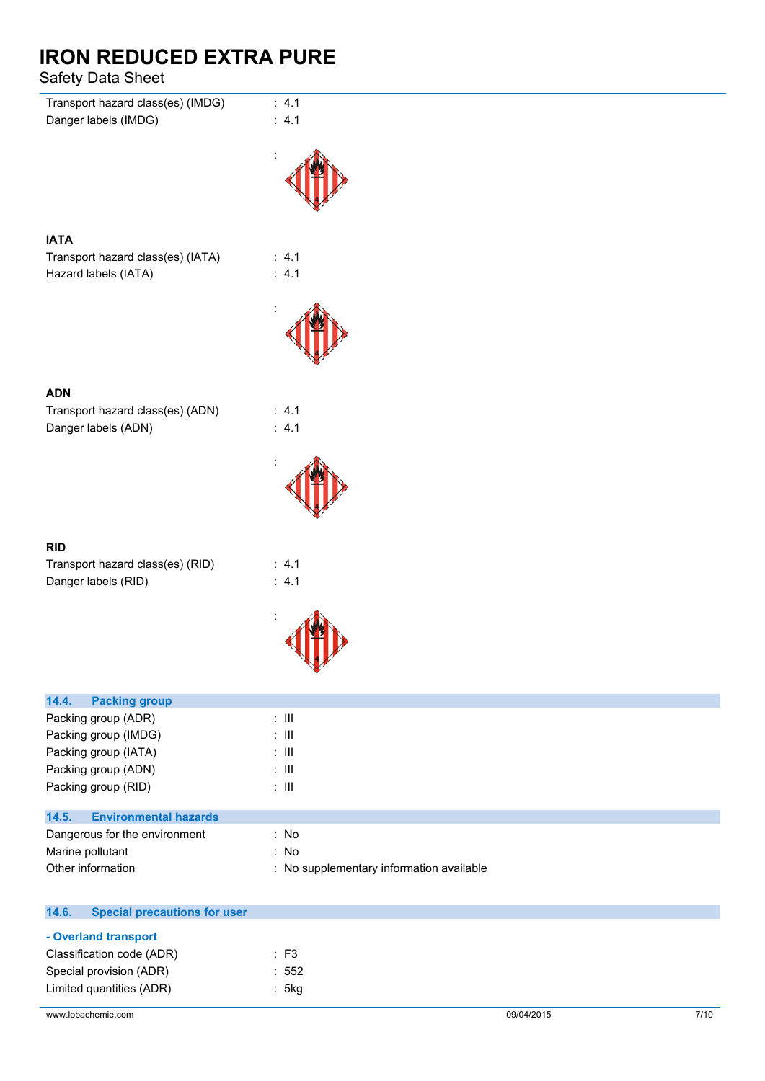### Safety Data Sheet

| Transport hazard class(es) (IMDG)                       | : 4.1          |
|---------------------------------------------------------|----------------|
| Danger labels (IMDG)                                    | : 4.1          |
|                                                         |                |
|                                                         |                |
| <b>IATA</b>                                             |                |
| Transport hazard class(es) (IATA)                       | : 4.1          |
| Hazard labels (IATA)                                    | : 4.1          |
|                                                         |                |
|                                                         |                |
|                                                         |                |
|                                                         |                |
| <b>ADN</b>                                              |                |
| Transport hazard class(es) (ADN)<br>Danger labels (ADN) | : 4.1<br>: 4.1 |
|                                                         |                |
|                                                         |                |
|                                                         |                |
|                                                         |                |
| <b>RID</b>                                              |                |
| Transport hazard class(es) (RID)                        | : 4.1          |
| Danger labels (RID)                                     | : 4.1          |
|                                                         |                |
|                                                         |                |
|                                                         |                |
| 14.4.<br><b>Packing group</b>                           |                |
| Packing group (ADR)                                     | $\colon$ III   |
| Packing group (IMDG)                                    | $\colon$ III   |
| Packing group (IATA)                                    | $\colon$ III   |
| Packing group (ADN)                                     | $\colon$ III   |
| Packing group (RID)                                     | $\colon$ III   |

# **14.5. Environmental hazards**

| Dangerous for the environment | No                                       |
|-------------------------------|------------------------------------------|
| Marine pollutant              | No.                                      |
| Other information             | : No supplementary information available |

| 14.6. | <b>Special precautions for user</b> |       |
|-------|-------------------------------------|-------|
|       | - Overland transport                |       |
|       | Classification code (ADR)           | : F3  |
|       | Special provision (ADR)             | : 552 |
|       | Limited quantities (ADR)            | : 5kg |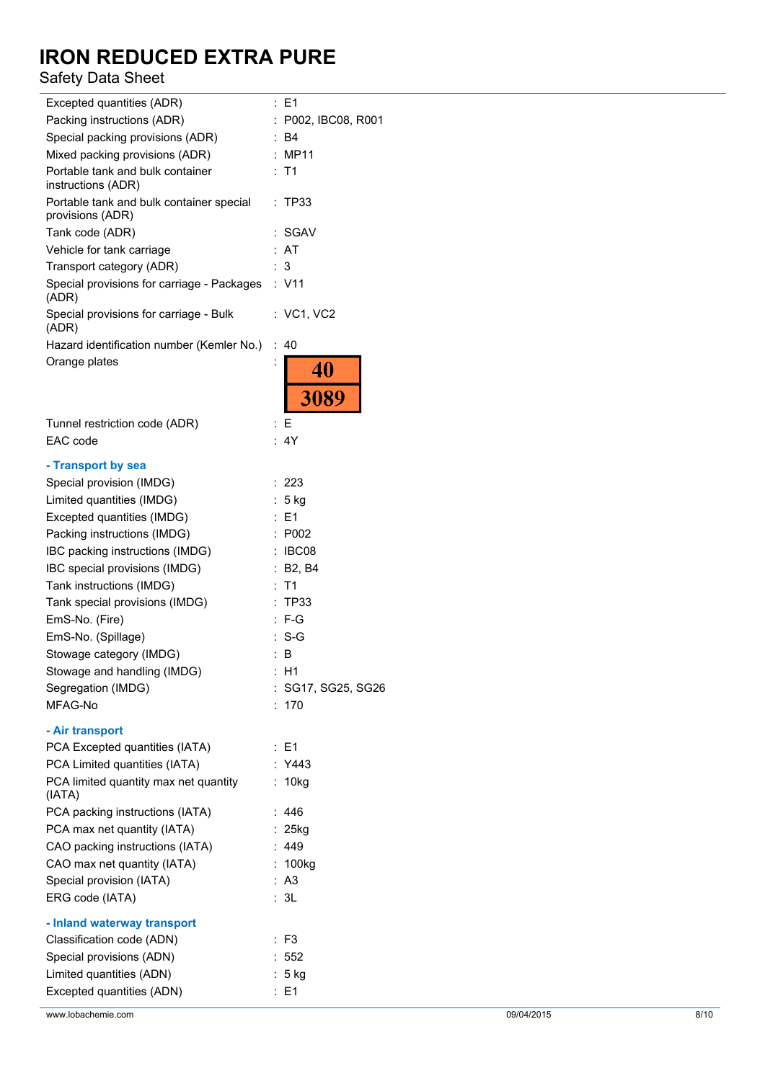### Safety Data Sheet

| Excepted quantities (ADR)                                    | : E1                |
|--------------------------------------------------------------|---------------------|
| Packing instructions (ADR)                                   | : P002, IBC08, R001 |
| Special packing provisions (ADR)                             | : B4                |
| Mixed packing provisions (ADR)                               | : MP11              |
| Portable tank and bulk container                             | : T1                |
| instructions (ADR)                                           |                     |
| Portable tank and bulk container special<br>provisions (ADR) | : TP33              |
| Tank code (ADR)                                              | : SGAV              |
| Vehicle for tank carriage                                    | : AT                |
| Transport category (ADR)                                     | : 3                 |
| Special provisions for carriage - Packages : V11<br>(ADR)    |                     |
| Special provisions for carriage - Bulk<br>(ADR)              | : VC1, VC2          |
| Hazard identification number (Kemler No.)                    | : 40                |
| Orange plates                                                |                     |
|                                                              | 40                  |
|                                                              | 3089                |
|                                                              |                     |
| Tunnel restriction code (ADR)                                | : E                 |
| EAC code                                                     | : 4Y                |
| - Transport by sea                                           |                     |
| Special provision (IMDG)                                     | : 223               |
| Limited quantities (IMDG)                                    | : 5 kg              |
| Excepted quantities (IMDG)                                   | : E1                |
| Packing instructions (IMDG)                                  | : P002              |
| IBC packing instructions (IMDG)                              | : IBC08             |
| IBC special provisions (IMDG)                                | : B2, B4            |
| Tank instructions (IMDG)                                     | $:$ T1              |
| Tank special provisions (IMDG)                               | : TP33              |
| EmS-No. (Fire)                                               | $:$ F-G             |
| EmS-No. (Spillage)                                           | : S-G               |
| Stowage category (IMDG)                                      | : B                 |
| Stowage and handling (IMDG)                                  | : H1                |
| Segregation (IMDG)                                           | : SG17, SG25, SG26  |
| MFAG-No                                                      | : 170               |
| - Air transport                                              |                     |
| PCA Excepted quantities (IATA)                               | : E1                |
| PCA Limited quantities (IATA)                                | : Y443              |
| PCA limited quantity max net quantity<br>(IATA)              | : 10kg              |
| PCA packing instructions (IATA)                              | : $446$             |
| PCA max net quantity (IATA)                                  | $: 25$ kg           |
| CAO packing instructions (IATA)                              | : 449               |
| CAO max net quantity (IATA)                                  | : 100kg             |
| Special provision (IATA)                                     | : A3                |
| ERG code (IATA)                                              | : 3L                |
|                                                              |                     |
| - Inland waterway transport                                  |                     |
| Classification code (ADN)                                    | $:$ F3              |
| Special provisions (ADN)                                     | : 552               |
| Limited quantities (ADN)                                     | : 5 kg              |
| Excepted quantities (ADN)                                    | : E1                |
| www.lobachemie.com                                           | 09/04/2015          |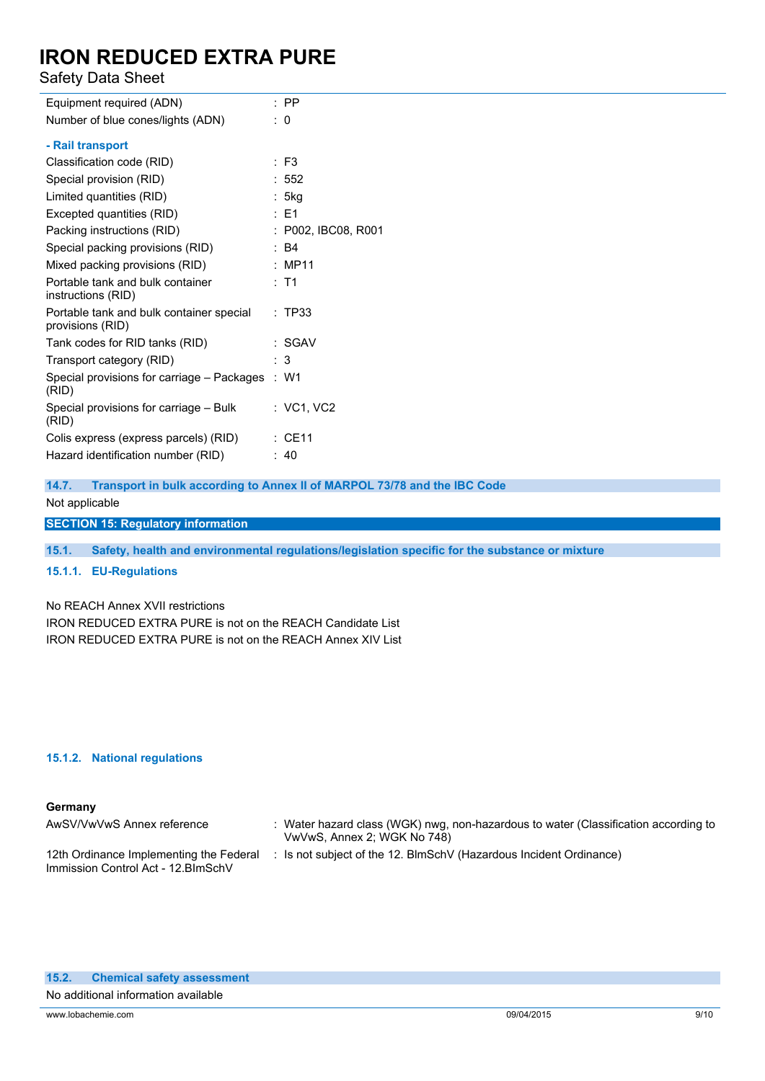Safety Data Sheet

| Equipment required (ADN)                                     | $:$ PP              |
|--------------------------------------------------------------|---------------------|
| Number of blue cones/lights (ADN)                            | $\therefore$ 0      |
| - Rail transport                                             |                     |
| Classification code (RID)                                    | $:$ F3              |
| Special provision (RID)                                      | : 552               |
| Limited quantities (RID)                                     | : 5kg               |
| Excepted quantities (RID)                                    | $\therefore$ E1     |
| Packing instructions (RID)                                   | : P002, IBC08, R001 |
| Special packing provisions (RID)                             | $\therefore$ B4     |
| Mixed packing provisions (RID)                               | : MP11              |
| Portable tank and bulk container<br>instructions (RID)       | $:$ T1              |
| Portable tank and bulk container special<br>provisions (RID) | : TP33              |
| Tank codes for RID tanks (RID)                               | : SGAV              |
| Transport category (RID)                                     | : 3                 |
| Special provisions for carriage - Packages<br>(RID)          | $\therefore$ W1     |
| Special provisions for carriage - Bulk<br>(RID)              | $:$ VC1, VC2        |
| Colis express (express parcels) (RID)                        | $\therefore$ CE11   |
| Hazard identification number (RID)                           | :40                 |
|                                                              |                     |

**14.7. Transport in bulk according to Annex II of MARPOL 73/78 and the IBC Code**

Not applicable

**SECTION 15: Regulatory information**

**15.1. Safety, health and environmental regulations/legislation specific for the substance or mixture**

### **15.1.1. EU-Regulations**

No REACH Annex XVII restrictions IRON REDUCED EXTRA PURE is not on the REACH Candidate List IRON REDUCED EXTRA PURE is not on the REACH Annex XIV List

#### **15.1.2. National regulations**

#### **Germany**

| AwSV/VwVwS Annex reference                                                     | : Water hazard class (WGK) nwg, non-hazardous to water (Classification according to<br>VwVwS, Annex 2; WGK No 748) |
|--------------------------------------------------------------------------------|--------------------------------------------------------------------------------------------------------------------|
| 12th Ordinance Implementing the Federal<br>Immission Control Act - 12. BlmSchV | : Is not subject of the 12. BlmSchV (Hazardous Incident Ordinance)                                                 |